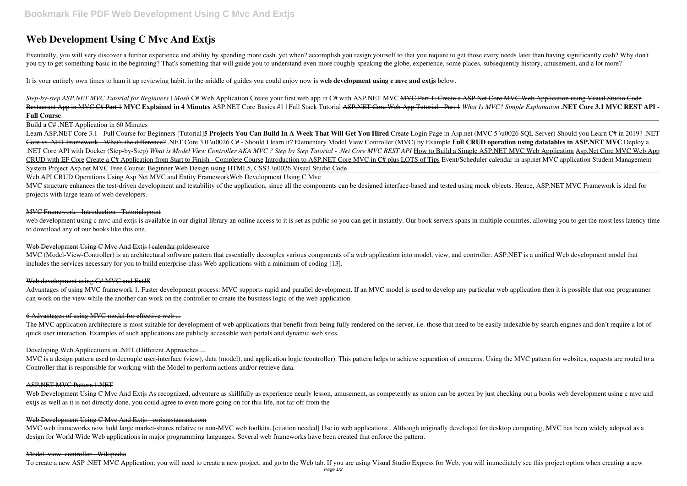# **Web Development Using C Mvc And Extjs**

Eventually, you will very discover a further experience and ability by spending more cash. yet when? accomplish you resign yourself to that you require to get those every needs later than having significantly cash? Why don you try to get something basic in the beginning? That's something that will guide you to understand even more roughly speaking the globe, experience, some places, subsequently history, amusement, and a lot more?

Step-by-step ASP.NET MVC Tutorial for Beginners | Mosh C# Web Application Create your first web app in C# with ASP.NET MVC <del>MVC Part 1: Create a ASP.Net Core MVC Web Application using Visual Studio Code</del> Restaurant App in MVC C# Part 1 **MVC Explained in 4 Minutes** ASP.NET Core Basics #1 | Full Stack Tutorial ASP.NET Core Web App Tutorial - Part 1 *What Is MVC? Simple Explanation* **.NET Core 3.1 MVC REST API - Full Course**

It is your entirely own times to ham it up reviewing habit. in the middle of guides you could enjoy now is **web development using c mvc and extjs** below.

Build a C# .NET Application in 60 Minutes

MVC structure enhances the test-driven development and testability of the application, since all the components can be designed interface-based and tested using mock objects. Hence, ASP.NET MVC Framework is ideal for projects with large team of web developers.

web development using c mvc and extis is available in our digital library an online access to it is set as public so you can get it instantly. Our book servers spans in multiple countries, allowing you to get the most less to download any of our books like this one.

# Web Development Using C Mvc And Extis | calendar.pridesource

MVC (Model-View-Controller) is an architectural software pattern that essentially decouples various components of a web application into model, view, and controller. ASP.NET is a unified Web development model that includes the services necessary for you to build enterprise-class Web applications with a minimum of coding [13].

#### Web development using C# MVC and ExtJS

Learn ASP.NET Core 3.1 - Full Course for Beginners [Tutorial]**5 Projects You Can Build In A Week That Will Get You Hired** Create Login Page in Asp.net (MVC 5 \u0026 SQL Server) Should you Learn C# in 2019? .NET Core vs .NET Framework - What's the difference? .NET Core 3.0 \u0026 C# - Should I learn it? Elementary Model View Controller (MVC) by Example **Full CRUD operation using datatables in ASP.NET MVC** Deploy a .NET Core API with Docker (Step-by-Step) *What is Model View Controller AKA MVC ? Step by Step Tutorial - .Net Core MVC REST API* How to Build a Simple ASP.NET MVC Web Application Asp.Net Core MVC Web App CRUD with EF Core Create a C# Application from Start to Finish - Complete Course Introduction to ASP.NET Core MVC in C# plus LOTS of Tips Event/Scheduler calendar in asp.net MVC application Student Management System Project Asp.net MVC Free Course: Beginner Web Design using HTML5, CSS3 \u0026 Visual Studio Code

Web API CRUD Operations Using Asp Net MVC and Entity Framework Web Development Using C Mve

Advantages of using MVC framework 1. Faster development process: MVC supports rapid and parallel development. If an MVC model is used to develop any particular web application then it is possible that one programmer can work on the view while the another can work on the controller to create the business logic of the web application.

The MVC application architecture is most suitable for development of web applications that benefit from being fully rendered on the server, i.e. those that need to be easily indexable by search engines and don't require a quick user interaction. Examples of such applications are publicly accessible web portals and dynamic web sites.

MVC is a design pattern used to decouple user-interface (view), data (model), and application logic (controller). This pattern helps to achieve separation of concerns. Using the MVC pattern for websites, requests are route Controller that is responsible for working with the Model to perform actions and/or retrieve data.

Web Development Using C Mvc And Extjs As recognized, adventure as skillfully as experience nearly lesson, amusement, as competently as union can be gotten by just checking out a books web development using c mvc and extjs as well as it is not directly done, you could agree to even more going on for this life, not far off from the

#### Web Development Using C Mvc And Extis - orrisrestaurant.com

# MVC Framework - Introduction - Tutorialspoint

MVC web frameworks now hold large market-shares relative to non-MVC web toolkits. [citation needed] Use in web applications . Although originally developed for desktop computing, MVC has been widely adopted as a design for World Wide Web applications in major programming languages. Several web frameworks have been created that enforce the pattern.

#### 6 Advantages of using MVC model for effective web ...

# Developing Web Applications in .NET (Different Approaches ...

# ASP.NET MVC Pattern | .NET

#### Model–view–controller - Wikipedia

To create a new ASP .NET MVC Application, you will need to create a new project, and go to the Web tab. If you are using Visual Studio Express for Web, you will immediately see this project option when creating a new